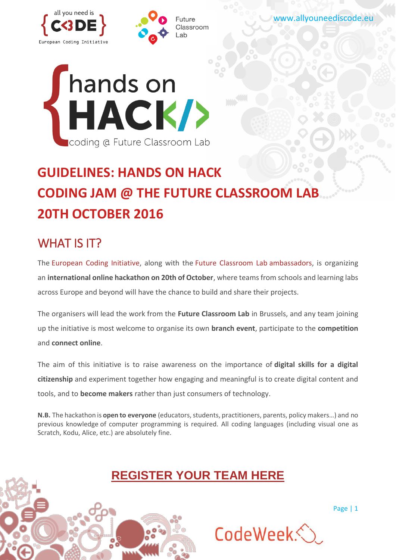





# **GUIDELINES: HANDS ON HACK CODING JAM @ THE FUTURE CLASSROOM LAB 20TH OCTOBER 2016**

## WHAT IS **IT?**

The [European Coding Initiative,](http://www.allyouneediscode.eu/) along with the [Future Classroom Lab](http://fcl.eun.org/) ambassadors, is organizing an **international online hackathon on 20th of October**, where teams from schools and learning labs across Europe and beyond will have the chance to build and share their projects.

The organisers will lead the work from the **Future Classroom Lab** in Brussels, and any team joining up the initiative is most welcome to organise its own **branch event**, participate to the **competition** and **connect online**.

The aim of this initiative is to raise awareness on the importance of **digital skills for a digital citizenship** and experiment together how engaging and meaningful is to create digital content and tools, and to **become makers** rather than just consumers of technology.

**N.B.** The hackathon is **open to everyone** (educators, students, practitioners, parents, policy makers…) and no previous knowledge of computer programming is required. All coding languages (including visual one as Scratch, Kodu, Alice, etc.) are absolutely fine.

## **[REGISTER YOUR TEAM HERE](https://www.surveymonkey.com/r/handsonhackregistration)**

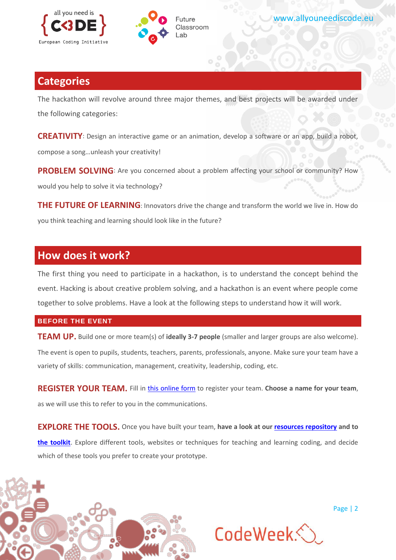



### **Categories**

The hackathon will revolve around three major themes, and best projects will be awarded under the following categories:

**CREATIVITY**: Design an interactive game or an animation, develop a software or an app, build a robot, compose a song…unleash your creativity!

**PROBLEM SOLVING:** Are you concerned about a problem affecting your school or community? How would you help to solve it via technology?

**THE FUTURE OF LEARNING:** Innovators drive the change and transform the world we live in. How do you think teaching and learning should look like in the future?

## **How does it work?**

The first thing you need to participate in a hackathon, is to understand the concept behind the event. Hacking is about creative problem solving, and a hackathon is an event where people come together to solve problems. Have a look at the following steps to understand how it will work.

#### **BEFORE THE EVENT**

**TEAM UP.** Build one or more team(s) of **ideally 3-7 people** (smaller and larger groups are also welcome). The event is open to pupils, students, teachers, parents, professionals, anyone. Make sure your team have a variety of skills: communication, management, creativity, leadership, coding, etc.

**REGISTER YOUR TEAM.** Fill in [this online form](https://www.surveymonkey.com/r/handsonhackregistration) to register your team. **Choose a name for your team**, as we will use this to refer to you in the communications.

**EXPLORE THE TOOLS.** Once you have built your team, **have a look at our [resources repository](http://www.allyouneediscode.eu/teachers) and to [the toolkit](http://www.allyouneediscode.eu/documents/12411/0/%23HandsOnHack_toolkit.pdf/cda71bb0-fecb-4d49-ac39-14fca65367d5)**. Explore different tools, websites or techniques for teaching and learning coding, and decide which of these tools you prefer to create your prototype.



CodeWeek<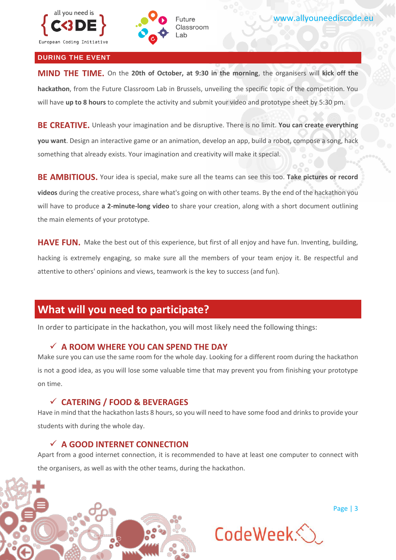

#### **DURING THE EVENT**

**MIND THE TIME.** On the **20th of October, at 9:30 in the morning**, the organisers will **kick off the hackathon**, from the Future Classroom Lab in Brussels, unveiling the specific topic of the competition. You will have **up to 8 hours** to complete the activity and submit your video and prototype sheet by 5:30 pm.

Future Classroom  $ab$ 

**BE CREATIVE.** Unleash your imagination and be disruptive. There is no limit. **You can create everything you want**. Design an interactive game or an animation, develop an app, build a robot, compose a song, hack something that already exists. Your imagination and creativity will make it special.

**BE AMBITIOUS.** Your idea is special, make sure all the teams can see this too. **Take pictures or record videos** during the creative process, share what's going on with other teams. By the end of the hackathon you will have to produce **a 2-minute-long video** to share your creation, along with a short document outlining the main elements of your prototype.

**HAVE FUN.** Make the best out of this experience, but first of all enjoy and have fun. Inventing, building, hacking is extremely engaging, so make sure all the members of your team enjoy it. Be respectful and attentive to others' opinions and views, teamwork is the key to success (and fun).

### **What will you need to participate?**

In order to participate in the hackathon, you will most likely need the following things:

#### **A ROOM WHERE YOU CAN SPEND THE DAY**

Make sure you can use the same room for the whole day. Looking for a different room during the hackathon is not a good idea, as you will lose some valuable time that may prevent you from finishing your prototype on time.

#### **CATERING / FOOD & BEVERAGES**

Have in mind that the hackathon lasts 8 hours, so you will need to have some food and drinks to provide your students with during the whole day.

#### **A GOOD INTERNET CONNECTION**

Apart from a good internet connection, it is recommended to have at least one computer to connect with the organisers, as well as with the other teams, during the hackathon.

CodeWeek<

Page | 3

www.allyouneediscode.eu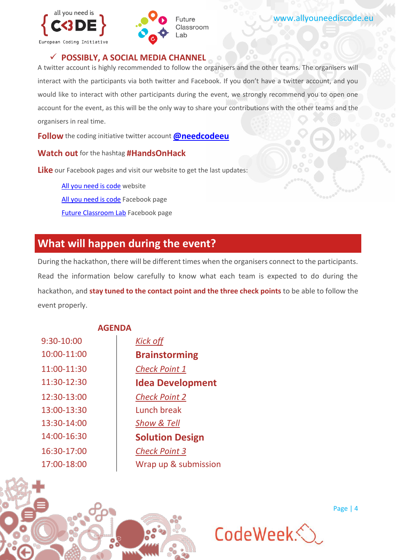



#### **POSSIBLY, A SOCIAL MEDIA CHANNEL**

A twitter account is highly recommended to follow the organisers and the other teams. The organisers will interact with the participants via both twitter and Facebook. If you don't have a twitter account, and you would like to interact with other participants during the event, we strongly recommend you to open one account for the event, as this will be the only way to share your contributions with the other teams and the organisers in real time.

**Follow** the coding initiative twitter account **[@needcodeeu](https://twitter.com/NeedCodeEU)** 

**Watch out** for the hashtag **#HandsOnHack**

**Like** our Facebook pages and visit our website to get the last updates:

[All you need is code](http://www.allyouneediscode.eu/home) website [All you need is code](https://www.facebook.com/needcodeeu/?fref=ts) Facebook page [Future Classroom Lab](https://www.facebook.com/futureclassroomlab/) Facebook page

## **What will happen during the event?**

During the hackathon, there will be different times when the organisers connect to the participants. Read the information below carefully to know what each team is expected to do during the hackathon, and **stay tuned to the contact point and the three check points** to be able to follow the event properly.

#### **AGENDA**

9:30-10:00 *Kick off* 12:30-13:00 13:00-13:30 13:30-14:00 *Show & Tell*

10:00-11:00 **Brainstorming** 11:00-11:30 *Check Point 1* 11:30-12:30 **Idea Development** *Check Point 2* Lunch break 14:00-16:30 **Solution Design** 16:30-17:00 *Check Point 3* 17:00-18:00 Wrap up & submission

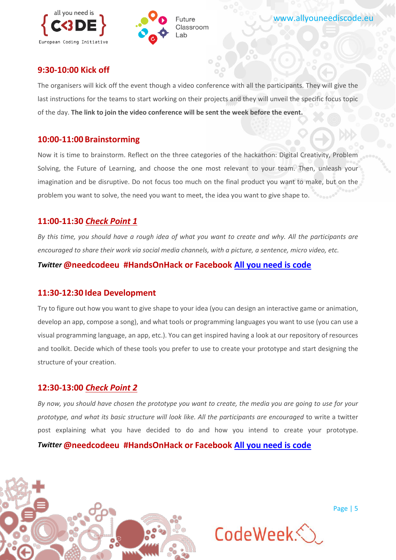



#### **9:30-10:00 Kick off**

The organisers will kick off the event though a video conference with all the participants. They will give the last instructions for the teams to start working on their projects and they will unveil the specific focus topic of the day. **The link to join the video conference will be sent the week before the event.**

#### **10:00-11:00 Brainstorming**

Now it is time to brainstorm. Reflect on the three categories of the hackathon: Digital Creativity, Problem Solving, the Future of Learning, and choose the one most relevant to your team. Then, unleash your imagination and be disruptive. Do not focus too much on the final product you want to make, but on the problem you want to solve, the need you want to meet, the idea you want to give shape to.

#### **11:00-11:30** *Check Point 1*

*By this time, you should have a rough idea of what you want to create and why. All the participants are encouraged to share their work via social media channels, with a picture, a sentence, micro video, etc.* 

#### *Twitter* **@needcodeeu #HandsOnHack or Facebook [All you need is code](https://www.facebook.com/needcodeeu/?fref=ts)**

#### **11:30-12:30 Idea Development**

Try to figure out how you want to give shape to your idea (you can design an interactive game or animation, develop an app, compose a song), and what tools or programming languages you want to use (you can use a visual programming language, an app, etc.). You can get inspired having a look at our repository of resources and toolkit. Decide which of these tools you prefer to use to create your prototype and start designing the structure of your creation.

#### **12:30-13:00** *Check Point 2*

*By now, you should have chosen the prototype you want to create, the media you are going to use for your prototype, and what its basic structure will look like. All the participants are encouraged* to write a twitter post explaining what you have decided to do and how you intend to create your prototype*. Twitter* **@needcodeeu #HandsOnHack or Facebook [All you need is code](https://www.facebook.com/needcodeeu/?fref=ts)**



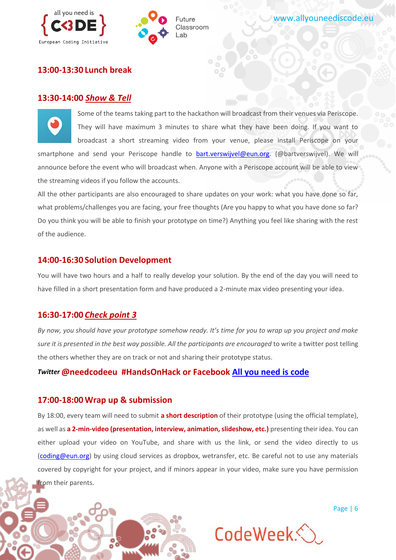



#### **13:00-13:30 Lunch break**

#### **13:30-14:00** *Show & Tell*

Some of the teams taking part to the hackathon will broadcast from their venues via Periscope. They will have maximum 3 minutes to share what they have been doing. If you want to broadcast a short streaming video from your venue, please install Periscope on your smartphone and send your Periscope handle to [bart.verswijvel@eun.org.](mailto:bart.verswijvel@eun.org) (@bartverswijvel). We will announce before the event who will broadcast when. Anyone with a Periscope account will be able to view the streaming videos if you follow the accounts.

All the other participants are also encouraged to share updates on your work: what you have done so far, what problems/challenges you are facing, your free thoughts (Are you happy to what you have done so far? Do you think you will be able to finish your prototype on time?) Anything you feel like sharing with the rest of the audience.

#### **14:00-16:30 Solution Development**

You will have two hours and a half to really develop your solution. By the end of the day you will need to have filled in a short presentation form and have produced a 2-minute max video presenting your idea.

#### **16:30-17:00** *Check point 3*

*By now, you should have your prototype somehow ready. It's time for you to wrap up you project and make sure it is presented in the best way possible. All the participants are encouraged* to write a twitter post telling the others whether they are on track or not and sharing their prototype status.

#### *Twitter* **@needcodeeu #HandsOnHack or Facebook [All you need is code](https://www.facebook.com/needcodeeu/?fref=ts)**

#### **17:00-18:00 Wrap up & submission**

By 18:00, every team will need to submit **a short description** of their prototype (using the official template), as well as **a 2-min-video (presentation, interview, animation, slideshow, etc.)** presenting their idea. You can either upload your video on YouTube, and share with us the link, or send the video directly to us [\(coding@eun.org\)](mailto:coding@eun.org) by using cloud services as dropbox, wetransfer, etc. Be careful not to use any materials covered by copyright for your project, and if minors appear in your video, make sure you have permission from their parents.